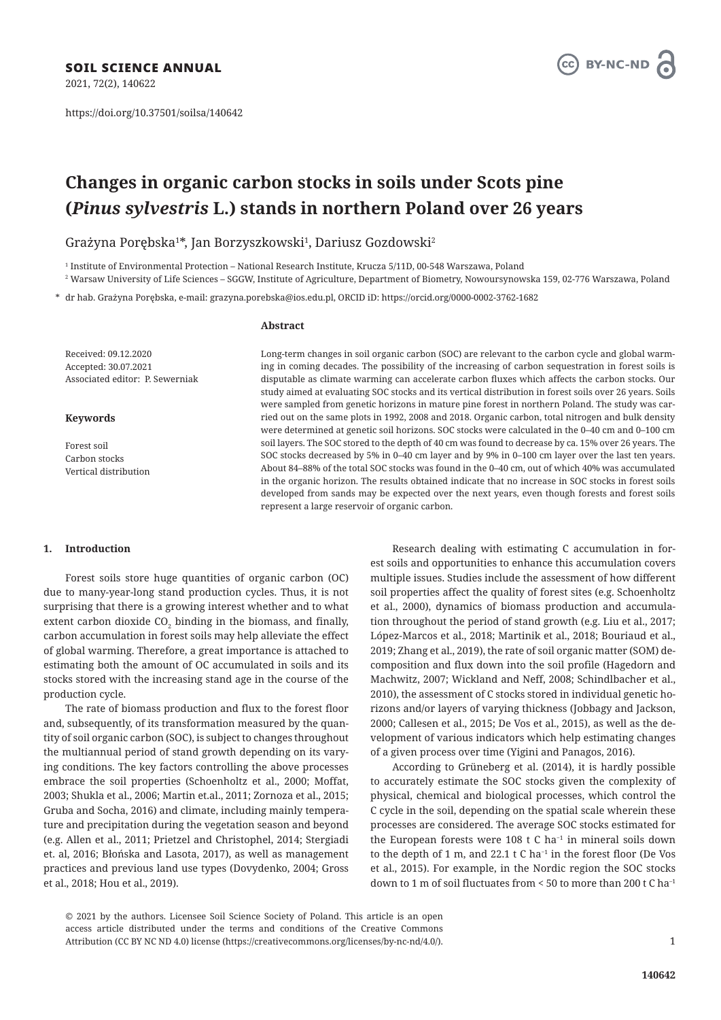2021, 72(2), 140622

https://doi.org/10.37501/soilsa/140642



# **Changes in organic carbon stocks in soils under Scots pine (***Pinus sylvestris* **L.) stands in northern Poland over 26 years**

Grażyna Porębska $^{1*}$ , Jan Borzyszkowski $^1$ , Dariusz Gozdowski $^2$ 

1 Institute of Environmental Protection – National Research Institute, Krucza 5/11D, 00-548 Warszawa, Poland

2 Warsaw University of Life Sciences – SGGW, Institute of Agriculture, Department of Biometry, Nowoursynowska 159, 02-776 Warszawa, Poland

\* dr hab. Grażyna Porębska, e-mail: grazyna.porebska@ios.edu.pl, ORCID iD: https://orcid.org/0000-0002-3762-1682

### **Abstract**

Received: 09.12.2020 Accepted: 30.07.2021 Associated editor: P. Sewerniak

# **Keywords**

Forest soil Carbon stocks Vertical distribution

# Long-term changes in soil organic carbon (SOC) are relevant to the carbon cycle and global warming in coming decades. The possibility of the increasing of carbon sequestration in forest soils is disputable as climate warming can accelerate carbon fluxes which affects the carbon stocks. Our study aimed at evaluating SOC stocks and its vertical distribution in forest soils over 26 years. Soils were sampled from genetic horizons in mature pine forest in northern Poland. The study was carried out on the same plots in 1992, 2008 and 2018. Organic carbon, total nitrogen and bulk density were determined at genetic soil horizons. SOC stocks were calculated in the 0–40 cm and 0–100 cm soil layers. The SOC stored to the depth of 40 cm was found to decrease by ca. 15% over 26 years. The SOC stocks decreased by 5% in 0–40 cm layer and by 9% in 0–100 cm layer over the last ten years. About 84–88% of the total SOC stocks was found in the 0–40 cm, out of which 40% was accumulated in the organic horizon. The results obtained indicate that no increase in SOC stocks in forest soils developed from sands may be expected over the next years, even though forests and forest soils represent a large reservoir of organic carbon.

# **1. Introduction**

Forest soils store huge quantities of organic carbon (OC) due to many-year-long stand production cycles. Thus, it is not surprising that there is a growing interest whether and to what extent carbon dioxide  $CO_2$  binding in the biomass, and finally, carbon accumulation in forest soils may help alleviate the effect of global warming. Therefore, a great importance is attached to estimating both the amount of OC accumulated in soils and its stocks stored with the increasing stand age in the course of the production cycle.

The rate of biomass production and flux to the forest floor and, subsequently, of its transformation measured by the quantity of soil organic carbon (SOC), is subject to changes throughout the multiannual period of stand growth depending on its varying conditions. The key factors controlling the above processes embrace the soil properties (Schoenholtz et al., 2000; Moffat, 2003; Shukla et al., 2006; Martin et.al., 2011; Zornoza et al., 2015; Gruba and Socha, 2016) and climate, including mainly temperature and precipitation during the vegetation season and beyond (e.g. Allen et al., 2011; Prietzel and Christophel, 2014; Stergiadi et. al, 2016; Błońska and Lasota, 2017), as well as management practices and previous land use types (Dovydenko, 2004; Gross et al., 2018; Hou et al., 2019).

Research dealing with estimating C accumulation in forest soils and opportunities to enhance this accumulation covers multiple issues. Studies include the assessment of how different soil properties affect the quality of forest sites (e.g. Schoenholtz et al., 2000), dynamics of biomass production and accumulation throughout the period of stand growth (e.g. Liu et al., 2017; López-Marcos et al., 2018; Martinik et al., 2018; Bouriaud et al., 2019; Zhang et al., 2019), the rate of soil organic matter (SOM) decomposition and flux down into the soil profile (Hagedorn and Machwitz, 2007; Wickland and Neff, 2008; Schindlbacher et al., 2010), the assessment of C stocks stored in individual genetic horizons and/or layers of varying thickness (Jobbagy and Jackson, 2000; Callesen et al., 2015; De Vos et al., 2015), as well as the development of various indicators which help estimating changes of a given process over time (Yigini and Panagos, 2016).

According to Grüneberg et al. (2014), it is hardly possible to accurately estimate the SOC stocks given the complexity of physical, chemical and biological processes, which control the C cycle in the soil, depending on the spatial scale wherein these processes are considered. The average SOC stocks estimated for the European forests were 108 t C ha<sup>−</sup><sup>1</sup> in mineral soils down to the depth of 1 m, and 22.1 t C ha<sup>−</sup><sup>1</sup> in the forest floor (De Vos et al., 2015). For example, in the Nordic region the SOC stocks down to 1 m of soil fluctuates from < 50 to more than 200 t C ha–1

© 2021 by the authors. Licensee Soil Science Society of Poland. This article is an open access article distributed under the terms and conditions of the Creative Commons Attribution (CC BY NC ND 4.0) license (https://creativecommons.org/licenses/by-nc-nd/4.0/).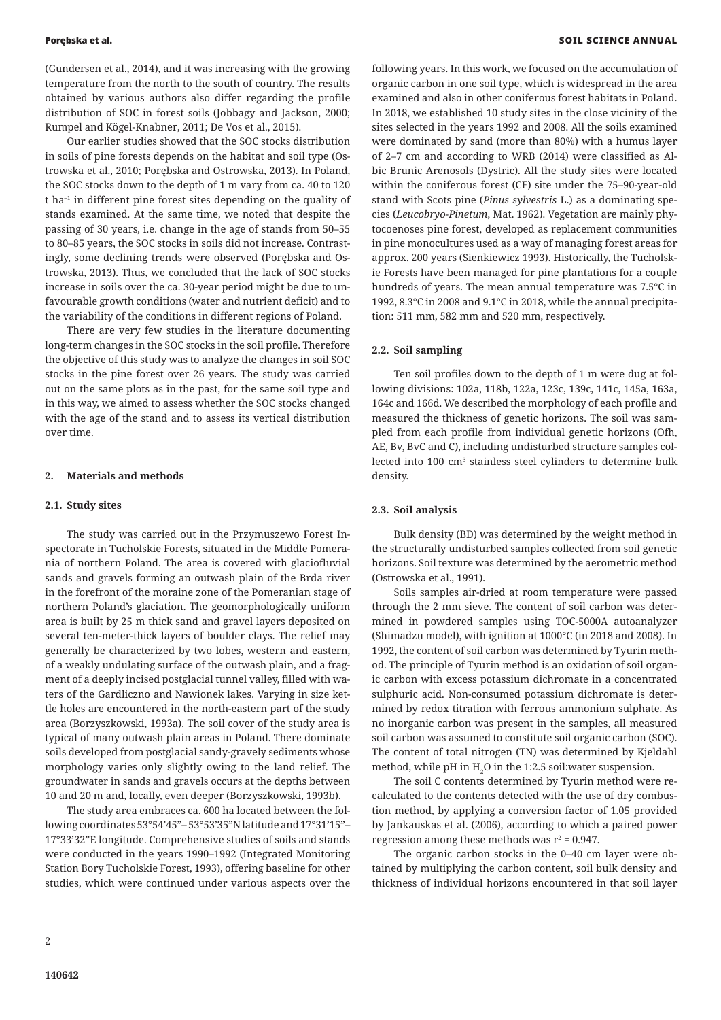(Gundersen et al., 2014), and it was increasing with the growing temperature from the north to the south of country. The results obtained by various authors also differ regarding the profile distribution of SOC in forest soils (Jobbagy and Jackson, 2000; Rumpel and Kögel-Knabner, 2011; De Vos et al., 2015).

Our earlier studies showed that the SOC stocks distribution in soils of pine forests depends on the habitat and soil type (Ostrowska et al., 2010; Porębska and Ostrowska, 2013). In Poland, the SOC stocks down to the depth of 1 m vary from ca. 40 to 120 t ha–1 in different pine forest sites depending on the quality of stands examined. At the same time, we noted that despite the passing of 30 years, i.e. change in the age of stands from 50–55 to 80–85 years, the SOC stocks in soils did not increase. Contrastingly, some declining trends were observed (Porębska and Ostrowska, 2013). Thus, we concluded that the lack of SOC stocks increase in soils over the ca. 30-year period might be due to unfavourable growth conditions (water and nutrient deficit) and to the variability of the conditions in different regions of Poland.

There are very few studies in the literature documenting long-term changes in the SOC stocks in the soil profile. Therefore the objective of this study was to analyze the changes in soil SOC stocks in the pine forest over 26 years. The study was carried out on the same plots as in the past, for the same soil type and in this way, we aimed to assess whether the SOC stocks changed with the age of the stand and to assess its vertical distribution over time.

#### **2. Materials and methods**

#### **2.1. Study sites**

The study was carried out in the Przymuszewo Forest Inspectorate in Tucholskie Forests, situated in the Middle Pomerania of northern Poland. The area is covered with glaciofluvial sands and gravels forming an outwash plain of the Brda river in the forefront of the moraine zone of the Pomeranian stage of northern Poland's glaciation. The geomorphologically uniform area is built by 25 m thick sand and gravel layers deposited on several ten-meter-thick layers of boulder clays. The relief may generally be characterized by two lobes, western and eastern, of a weakly undulating surface of the outwash plain, and a fragment of a deeply incised postglacial tunnel valley, filled with waters of the Gardliczno and Nawionek lakes. Varying in size kettle holes are encountered in the north-eastern part of the study area (Borzyszkowski, 1993a). The soil cover of the study area is typical of many outwash plain areas in Poland. There dominate soils developed from postglacial sandy-gravely sediments whose morphology varies only slightly owing to the land relief. The groundwater in sands and gravels occurs at the depths between 10 and 20 m and, locally, even deeper (Borzyszkowski, 1993b).

The study area embraces ca. 600 ha located between the following coordinates 53°54'45"– 53°53'35"N latitude and 17°31'15"– 17°33'32"E longitude. Comprehensive studies of soils and stands were conducted in the years 1990–1992 (Integrated Monitoring Station Bory Tucholskie Forest, 1993), offering baseline for other studies, which were continued under various aspects over the

**140642**

following years. In this work, we focused on the accumulation of organic carbon in one soil type, which is widespread in the area examined and also in other coniferous forest habitats in Poland. In 2018, we established 10 study sites in the close vicinity of the sites selected in the years 1992 and 2008. All the soils examined were dominated by sand (more than 80%) with a humus layer of 2–7 cm and according to WRB (2014) were classified as Albic Brunic Arenosols (Dystric). All the study sites were located within the coniferous forest (CF) site under the 75–90-year-old stand with Scots pine (*Pinus sylvestris* L.) as a dominating species (*Leucobryo-Pinetum*, Mat. 1962). Vegetation are mainly phytocoenoses pine forest, developed as replacement communities in pine monocultures used as a way of managing forest areas for approx. 200 years (Sienkiewicz 1993). Historically, the Tucholskie Forests have been managed for pine plantations for a couple hundreds of years. The mean annual temperature was 7.5°C in 1992, 8.3°C in 2008 and 9.1°C in 2018, while the annual precipitation: 511 mm, 582 mm and 520 mm, respectively.

# **2.2. Soil sampling**

Ten soil profiles down to the depth of 1 m were dug at following divisions: 102a, 118b, 122a, 123c, 139c, 141c, 145a, 163a, 164c and 166d. We described the morphology of each profile and measured the thickness of genetic horizons. The soil was sampled from each profile from individual genetic horizons (Ofh, AE, Bv, BvC and C), including undisturbed structure samples collected into 100 cm3 stainless steel cylinders to determine bulk density.

# **2.3. Soil analysis**

Bulk density (BD) was determined by the weight method in the structurally undisturbed samples collected from soil genetic horizons. Soil texture was determined by the aerometric method (Ostrowska et al., 1991).

Soils samples air-dried at room temperature were passed through the 2 mm sieve. The content of soil carbon was determined in powdered samples using TOC-5000A autoanalyzer (Shimadzu model), with ignition at 1000°C (in 2018 and 2008). In 1992, the content of soil carbon was determined by Tyurin method. The principle of Tyurin method is an oxidation of soil organic carbon with excess potassium dichromate in a concentrated sulphuric acid. Non-consumed potassium dichromate is determined by redox titration with ferrous ammonium sulphate. As no inorganic carbon was present in the samples, all measured soil carbon was assumed to constitute soil organic carbon (SOC). The content of total nitrogen (TN) was determined by Kjeldahl method, while pH in  $\text{H}_2\text{O}$  in the 1:2.5 soil:water suspension.

The soil C contents determined by Tyurin method were recalculated to the contents detected with the use of dry combustion method, by applying a conversion factor of 1.05 provided by Jankauskas et al. (2006), according to which a paired power regression among these methods was  $r^2$  = 0.947.

The organic carbon stocks in the 0–40 cm layer were obtained by multiplying the carbon content, soil bulk density and thickness of individual horizons encountered in that soil layer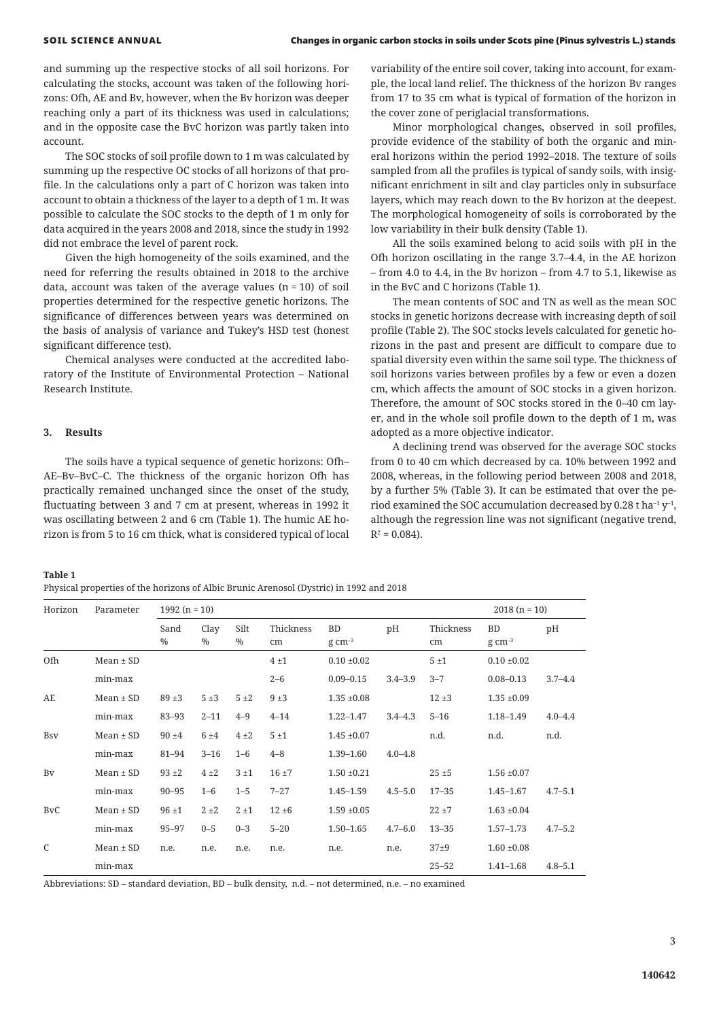and summing up the respective stocks of all soil horizons. For calculating the stocks, account was taken of the following horizons: Ofh, AE and Bv, however, when the Bv horizon was deeper reaching only a part of its thickness was used in calculations; and in the opposite case the BvC horizon was partly taken into account.

The SOC stocks of soil profile down to 1 m was calculated by summing up the respective OC stocks of all horizons of that profile. In the calculations only a part of C horizon was taken into account to obtain a thickness of the layer to a depth of 1 m. It was possible to calculate the SOC stocks to the depth of 1 m only for data acquired in the years 2008 and 2018, since the study in 1992 did not embrace the level of parent rock.

Given the high homogeneity of the soils examined, and the need for referring the results obtained in 2018 to the archive data, account was taken of the average values  $(n = 10)$  of soil properties determined for the respective genetic horizons. The significance of differences between years was determined on the basis of analysis of variance and Tukey's HSD test (honest significant difference test).

Chemical analyses were conducted at the accredited laboratory of the Institute of Environmental Protection – National Research Institute.

# **3. Results**

The soils have a typical sequence of genetic horizons: Ofh– AE–Bv–BvC–C. The thickness of the organic horizon Ofh has practically remained unchanged since the onset of the study, fluctuating between 3 and 7 cm at present, whereas in 1992 it was oscillating between 2 and 6 cm (Table 1). The humic AE horizon is from 5 to 16 cm thick, what is considered typical of local variability of the entire soil cover, taking into account, for example, the local land relief. The thickness of the horizon Bv ranges from 17 to 35 cm what is typical of formation of the horizon in the cover zone of periglacial transformations.

Minor morphological changes, observed in soil profiles, provide evidence of the stability of both the organic and mineral horizons within the period 1992–2018. The texture of soils sampled from all the profiles is typical of sandy soils, with insignificant enrichment in silt and clay particles only in subsurface layers, which may reach down to the Bv horizon at the deepest. The morphological homogeneity of soils is corroborated by the low variability in their bulk density (Table 1).

All the soils examined belong to acid soils with pH in the Ofh horizon oscillating in the range 3.7–4.4, in the AE horizon – from 4.0 to 4.4, in the Bv horizon – from 4.7 to 5.1, likewise as in the BvC and C horizons (Table 1).

The mean contents of SOC and TN as well as the mean SOC stocks in genetic horizons decrease with increasing depth of soil profile (Table 2). The SOC stocks levels calculated for genetic horizons in the past and present are difficult to compare due to spatial diversity even within the same soil type. The thickness of soil horizons varies between profiles by a few or even a dozen cm, which affects the amount of SOC stocks in a given horizon. Therefore, the amount of SOC stocks stored in the 0–40 cm layer, and in the whole soil profile down to the depth of 1 m, was adopted as a more objective indicator.

A declining trend was observed for the average SOC stocks from 0 to 40 cm which decreased by ca. 10% between 1992 and 2008, whereas, in the following period between 2008 and 2018, by a further 5% (Table 3). It can be estimated that over the period examined the SOC accumulation decreased by 0.28 t ha<sup>-1</sup>  $y$ <sup>-1</sup>, although the regression line was not significant (negative trend,  $R^2 = 0.084$ ).

**Table 1**

Physical properties of the horizons of Albic Brunic Arenosol (Dystric) in 1992 and 2018

| Horizon               | Parameter     | $1992(n = 10)$        |              |                       |                 |                             |             |                 | $2018 (n = 10)$                    |             |
|-----------------------|---------------|-----------------------|--------------|-----------------------|-----------------|-----------------------------|-------------|-----------------|------------------------------------|-------------|
|                       |               | Sand<br>$\frac{0}{0}$ | Clay<br>$\%$ | Silt<br>$\frac{0}{0}$ | Thickness<br>cm | BD<br>$g \, \text{cm}^{-3}$ | pH          | Thickness<br>cm | <b>BD</b><br>$g \, \text{cm}^{-3}$ | pH          |
| Ofh                   | $Mean \pm SD$ |                       |              |                       | 4±1             | $0.10 \pm 0.02$             |             | 5±1             | $0.10 \pm 0.02$                    |             |
|                       | min-max       |                       |              |                       | $2 - 6$         | $0.09 - 0.15$               | $3.4 - 3.9$ | $3 - 7$         | $0.08 - 0.13$                      | $3.7 - 4.4$ |
| AE                    | $Mean \pm SD$ | $89 + 3$              | 5±3          | 5±2                   | 9±3             | $1.35 \pm 0.08$             |             | $12 + 3$        | $1.35 \pm 0.09$                    |             |
|                       | min-max       | $83 - 93$             | $2 - 11$     | $4 - 9$               | $4 - 14$        | $1.22 - 1.47$               | $3.4 - 4.3$ | $5 - 16$        | $1.18 - 1.49$                      | $4.0 - 4.4$ |
| <b>B</b> sv           | $Mean \pm SD$ | $90 + 4$              | 6±4          | $4\pm2$               | 5±1             | $1.45 \pm 0.07$             |             | n.d.            | n.d.                               | n.d.        |
|                       | min-max       | $81 - 94$             | $3 - 16$     | $1 - 6$               | $4 - 8$         | $1.39 - 1.60$               | $4.0 - 4.8$ |                 |                                    |             |
| <b>B</b> <sub>V</sub> | $Mean \pm SD$ | $93 + 2$              | $4\pm2$      | 3±1                   | $16 + 7$        | $1.50 \pm 0.21$             |             | $25 + 5$        | $1.56 \pm 0.07$                    |             |
|                       | min-max       | $90 - 95$             | $1 - 6$      | $1 - 5$               | $7 - 27$        | $1.45 - 1.59$               | $4.5 - 5.0$ | $17 - 35$       | $1.45 - 1.67$                      | $4.7 - 5.1$ |
| <b>BvC</b>            | $Mean \pm SD$ | $96 \pm 1$            | $2 + 2$      | $2 \pm 1$             | $12 + 6$        | $1.59 \pm 0.05$             |             | $22 + 7$        | $1.63 \pm 0.04$                    |             |
|                       | min-max       | $95 - 97$             | $0 - 5$      | $0 - 3$               | $5 - 20$        | $1.50 - 1.65$               | $4.7 - 6.0$ | $13 - 35$       | $1.57 - 1.73$                      | $4.7 - 5.2$ |
| $\mathcal{C}$         | $Mean \pm SD$ | n.e.                  | n.e.         | n.e.                  | n.e.            | n.e.                        | n.e.        | $37+9$          | $1.60 \pm 0.08$                    |             |
|                       | min-max       |                       |              |                       |                 |                             |             | $25 - 52$       | $1.41 - 1.68$                      | $4.8 - 5.1$ |

Abbreviations: SD – standard deviation, BD – bulk density, n.d. – not determined, n.e. – no examined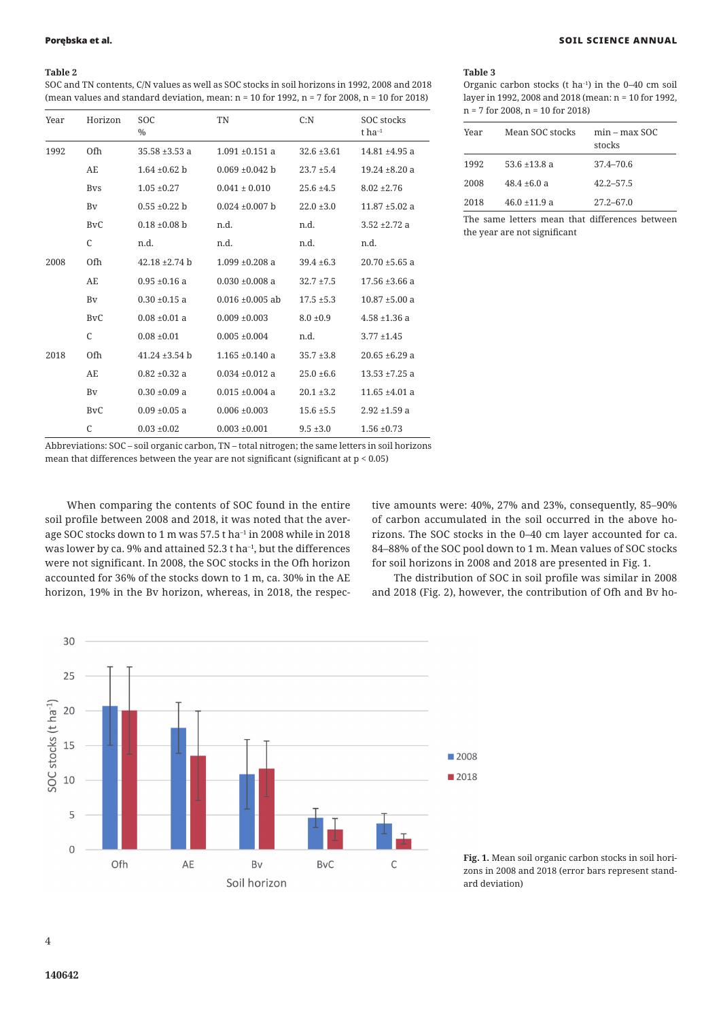# **Table 2**

SOC and TN contents, C/N values as well as SOC stocks in soil horizons in 1992, 2008 and 2018 (mean values and standard deviation, mean: n = 10 for 1992, n = 7 for 2008, n = 10 for 2018)

| Year | Horizon                 | <b>SOC</b><br>$\%$ | TN                   | C: N            | SOC stocks<br>t $ha^{-1}$ |
|------|-------------------------|--------------------|----------------------|-----------------|---------------------------|
| 1992 | Ofh                     | $35.58 + 3.53a$    | $1.091 + 0.151$ a    | $32.6 \pm 3.61$ | $14.81 + 4.95$ a          |
|      | AE                      | $1.64 \pm 0.62$ b  | $0.069 \pm 0.042$ b  | $23.7 \pm 5.4$  | $19.24 \pm 8.20$ a        |
|      | <b>B</b> <sub>V</sub> s | $1.05 \pm 0.27$    | $0.041 \pm 0.010$    | $25.6 \pm 4.5$  | $8.02 \pm 2.76$           |
|      | Bv                      | $0.55 \pm 0.22$ b  | $0.024 \pm 0.007$ b  | $22.0 \pm 3.0$  | $11.87 \pm 5.02$ a        |
|      | <b>BvC</b>              | $0.18 \pm 0.08$ b  | n.d.                 | n.d.            | $3.52 + 2.72$ a           |
|      | $\mathsf{C}$            | n.d.               | n.d.                 | n.d.            | n.d.                      |
| 2008 | Ofh                     | $42.18 \pm 2.74$ b | $1.099 + 0.208$ a    | $39.4 \pm 6.3$  | $20.70 \pm 5.65$ a        |
|      | AE                      | $0.95 \pm 0.16$ a  | $0.030 \pm 0.008$ a  | $32.7 + 7.5$    | $17.56 \pm 3.66$ a        |
|      | Bv                      | $0.30 \pm 0.15$ a  | $0.016 \pm 0.005$ ab | $17.5 \pm 5.3$  | $10.87 \pm 5.00$ a        |
|      | <b>BvC</b>              | $0.08 \pm 0.01$ a  | $0.009 + 0.003$      | $8.0 \pm 0.9$   | $4.58 + 1.36$ a           |
|      | $\mathcal{C}$           | $0.08 \pm 0.01$    | $0.005 \pm 0.004$    | n.d.            | $3.77 \pm 1.45$           |
| 2018 | 0fh                     | $41.24 \pm 3.54$ b | $1.165 + 0.140$ a    | $35.7 \pm 3.8$  | $20.65 \pm 6.29$ a        |
|      | AE                      | $0.82 \pm 0.32$ a  | $0.034 \pm 0.012$ a  | $25.0 \pm 6.6$  | $13.53 + 7.25$ a          |
|      | Bv                      | $0.30 \pm 0.09$ a  | $0.015 \pm 0.004$ a  | $20.1 \pm 3.2$  | $11.65 \pm 4.01$ a        |
|      | <b>BvC</b>              | $0.09 \pm 0.05$ a  | $0.006 \pm 0.003$    | $15.6 \pm 5.5$  | $2.92 + 1.59$ a           |
|      | $\mathsf{C}$            | $0.03 \pm 0.02$    | $0.003 \pm 0.001$    | $9.5 \pm 3.0$   | $1.56 \pm 0.73$           |

#### Porębska et al. SOIL SCIENCE ANNUAL

**Table 3**

Organic carbon stocks (t ha–1) in the 0–40 cm soil layer in 1992, 2008 and 2018 (mean: n = 10 for 1992, n = 7 for 2008, n = 10 for 2018)

| Year | Mean SOC stocks   | $min - max SOC$<br>stocks |
|------|-------------------|---------------------------|
| 1992 | 53.6 $\pm$ 13.8 a | 37.4–70.6                 |
| 2008 | $48.4 \pm 6.0 a$  | $42.2 - 57.5$             |
| 2018 | $46.0 + 11.9$ a   | $27.2 - 67.0$             |

The same letters mean that differences between the year are not significant

Abbreviations: SOC – soil organic carbon, TN – total nitrogen; the same letters in soil horizons mean that differences between the year are not significant (significant at  $p < 0.05$ )

When comparing the contents of SOC found in the entire soil profile between 2008 and 2018, it was noted that the average SOC stocks down to 1 m was 57.5 t ha<sup>-1</sup> in 2008 while in 2018 was lower by ca. 9% and attained 52.3 t ha<sup>-1</sup>, but the differences were not significant. In 2008, the SOC stocks in the Ofh horizon accounted for 36% of the stocks down to 1 m, ca. 30% in the AE horizon, 19% in the Bv horizon, whereas, in 2018, the respective amounts were: 40%, 27% and 23%, consequently, 85–90% of carbon accumulated in the soil occurred in the above horizons. The SOC stocks in the 0–40 cm layer accounted for ca. 84–88% of the SOC pool down to 1 m. Mean values of SOC stocks for soil horizons in 2008 and 2018 are presented in Fig. 1.

The distribution of SOC in soil profile was similar in 2008 and 2018 (Fig. 2), however, the contribution of Ofh and Bv ho-



**Fig. 1.** Mean soil organic carbon stocks in soil horizons in 2008 and 2018 (error bars represent standard deviation)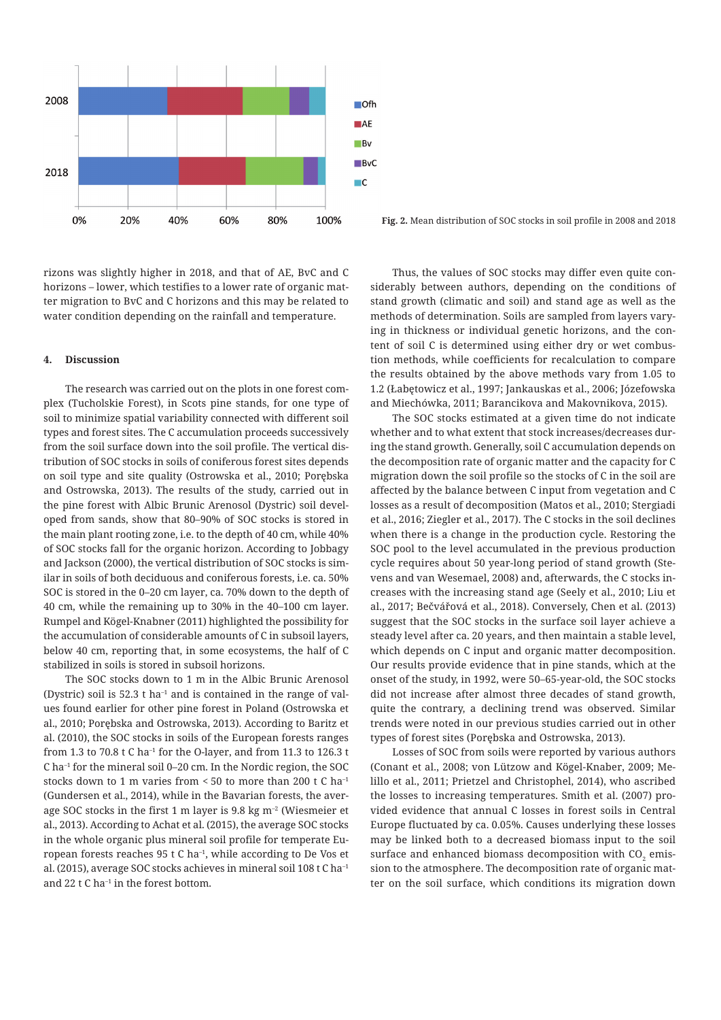

rizons was slightly higher in 2018, and that of AE, BvC and C horizons – lower, which testifies to a lower rate of organic matter migration to BvC and C horizons and this may be related to water condition depending on the rainfall and temperature.

#### **4. Discussion**

The research was carried out on the plots in one forest complex (Tucholskie Forest), in Scots pine stands, for one type of soil to minimize spatial variability connected with different soil types and forest sites. The C accumulation proceeds successively from the soil surface down into the soil profile. The vertical distribution of SOC stocks in soils of coniferous forest sites depends on soil type and site quality (Ostrowska et al., 2010; Porębska and Ostrowska, 2013). The results of the study, carried out in the pine forest with Albic Brunic Arenosol (Dystric) soil developed from sands, show that 80–90% of SOC stocks is stored in the main plant rooting zone, i.e. to the depth of 40 cm, while 40% of SOC stocks fall for the organic horizon. According to Jobbagy and Jackson (2000), the vertical distribution of SOC stocks is similar in soils of both deciduous and coniferous forests, i.e. ca. 50% SOC is stored in the 0–20 cm layer, ca. 70% down to the depth of 40 cm, while the remaining up to 30% in the 40–100 cm layer. Rumpel and Kögel-Knabner (2011) highlighted the possibility for the accumulation of considerable amounts of C in subsoil layers, below 40 cm, reporting that, in some ecosystems, the half of C stabilized in soils is stored in subsoil horizons.

The SOC stocks down to 1 m in the Albic Brunic Arenosol (Dystric) soil is 52.3 t ha<sup>-1</sup> and is contained in the range of values found earlier for other pine forest in Poland (Ostrowska et al., 2010; Porębska and Ostrowska, 2013). According to Baritz et al. (2010), the SOC stocks in soils of the European forests ranges from 1.3 to 70.8 t C ha<sup>-1</sup> for the O-laver, and from 11.3 to 126.3 t C ha–1 for the mineral soil 0–20 cm. In the Nordic region, the SOC stocks down to 1 m varies from  $\leq 50$  to more than 200 t C ha<sup>-1</sup> (Gundersen et al., 2014), while in the Bavarian forests, the average SOC stocks in the first 1 m layer is 9.8 kg m–2 (Wiesmeier et al., 2013). According to Achat et al. (2015), the average SOC stocks in the whole organic plus mineral soil profile for temperate European forests reaches  $95$  t C ha<sup>-1</sup>, while according to De Vos et al. (2015), average SOC stocks achieves in mineral soil 108 t C ha–1 and  $22 \pm C$  ha<sup>-1</sup> in the forest bottom.

**Fig. 2.** Mean distribution of SOC stocks in soil profile in 2008 and 2018

Thus, the values of SOC stocks may differ even quite considerably between authors, depending on the conditions of stand growth (climatic and soil) and stand age as well as the methods of determination. Soils are sampled from layers varying in thickness or individual genetic horizons, and the content of soil C is determined using either dry or wet combustion methods, while coefficients for recalculation to compare the results obtained by the above methods vary from 1.05 to 1.2 (Łabętowicz et al., 1997; Jankauskas et al., 2006; Józefowska and Miechówka, 2011; Barancikova and Makovnikova, 2015).

The SOC stocks estimated at a given time do not indicate whether and to what extent that stock increases/decreases during the stand growth. Generally, soil C accumulation depends on the decomposition rate of organic matter and the capacity for C migration down the soil profile so the stocks of C in the soil are affected by the balance between C input from vegetation and C losses as a result of decomposition (Matos et al., 2010; Stergiadi et al., 2016; Ziegler et al., 2017). The C stocks in the soil declines when there is a change in the production cycle. Restoring the SOC pool to the level accumulated in the previous production cycle requires about 50 year-long period of stand growth (Stevens and van Wesemael, 2008) and, afterwards, the C stocks increases with the increasing stand age (Seely et al., 2010; Liu et al., 2017; Bečvářová et al., 2018). Conversely, Chen et al. (2013) suggest that the SOC stocks in the surface soil layer achieve a steady level after ca. 20 years, and then maintain a stable level, which depends on C input and organic matter decomposition. Our results provide evidence that in pine stands, which at the onset of the study, in 1992, were 50–65-year-old, the SOC stocks did not increase after almost three decades of stand growth, quite the contrary, a declining trend was observed. Similar trends were noted in our previous studies carried out in other types of forest sites (Porębska and Ostrowska, 2013).

Losses of SOC from soils were reported by various authors (Conant et al., 2008; von Lützow and Kögel-Knaber, 2009; Melillo et al., 2011; Prietzel and Christophel, 2014), who ascribed the losses to increasing temperatures. Smith et al. (2007) provided evidence that annual C losses in forest soils in Central Europe fluctuated by ca. 0.05%. Causes underlying these losses may be linked both to a decreased biomass input to the soil surface and enhanced biomass decomposition with CO<sub>2</sub> emission to the atmosphere. The decomposition rate of organic matter on the soil surface, which conditions its migration down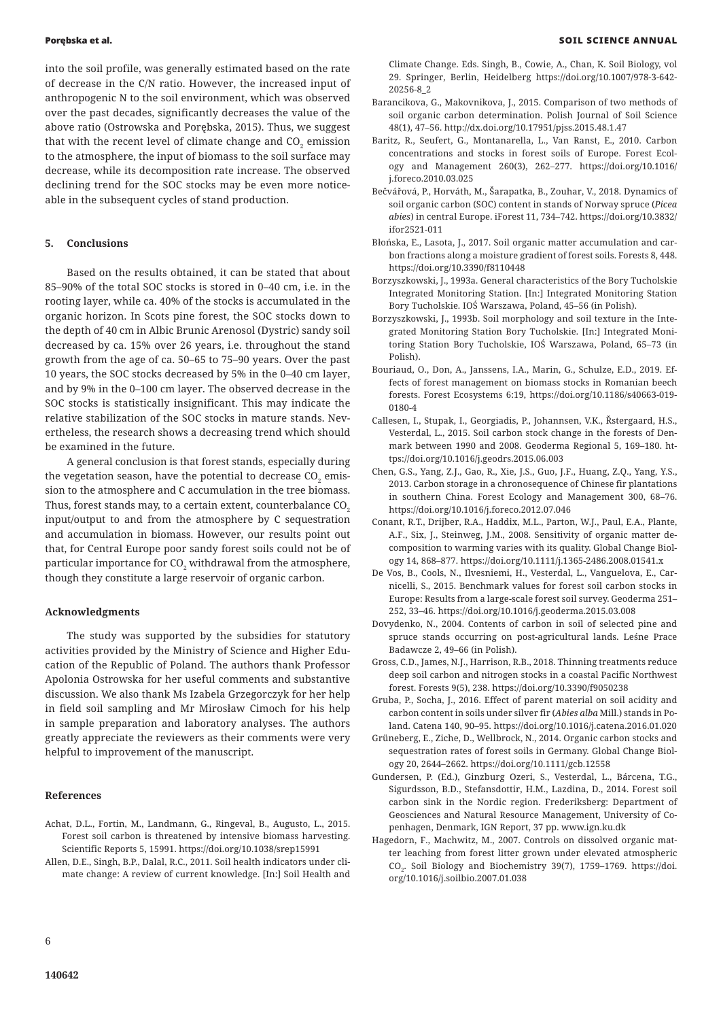into the soil profile, was generally estimated based on the rate of decrease in the C/N ratio. However, the increased input of anthropogenic N to the soil environment, which was observed over the past decades, significantly decreases the value of the above ratio (Ostrowska and Porębska, 2015). Thus, we suggest that with the recent level of climate change and  $CO<sub>2</sub>$  emission to the atmosphere, the input of biomass to the soil surface may decrease, while its decomposition rate increase. The observed declining trend for the SOC stocks may be even more noticeable in the subsequent cycles of stand production.

# **5. Conclusions**

Based on the results obtained, it can be stated that about 85–90% of the total SOC stocks is stored in 0–40 cm, i.e. in the rooting layer, while ca. 40% of the stocks is accumulated in the organic horizon. In Scots pine forest, the SOC stocks down to the depth of 40 cm in Albic Brunic Arenosol (Dystric) sandy soil decreased by ca. 15% over 26 years, i.e. throughout the stand growth from the age of ca. 50–65 to 75–90 years. Over the past 10 years, the SOC stocks decreased by 5% in the 0–40 cm layer, and by 9% in the 0–100 cm layer. The observed decrease in the SOC stocks is statistically insignificant. This may indicate the relative stabilization of the SOC stocks in mature stands. Nevertheless, the research shows a decreasing trend which should be examined in the future.

A general conclusion is that forest stands, especially during the vegetation season, have the potential to decrease CO $_{_2}$  emission to the atmosphere and C accumulation in the tree biomass. Thus, forest stands may, to a certain extent, counterbalance CO<sub>2</sub> input/output to and from the atmosphere by C sequestration and accumulation in biomass. However, our results point out that, for Central Europe poor sandy forest soils could not be of particular importance for CO $_{\textrm{\tiny{2}}}$  withdrawal from the atmosphere, though they constitute a large reservoir of organic carbon.

### **Acknowledgments**

The study was supported by the subsidies for statutory activities provided by the Ministry of Science and Higher Education of the Republic of Poland. The authors thank Professor Apolonia Ostrowska for her useful comments and substantive discussion. We also thank Ms Izabela Grzegorczyk for her help in field soil sampling and Mr Mirosław Cimoch for his help in sample preparation and laboratory analyses. The authors greatly appreciate the reviewers as their comments were very helpful to improvement of the manuscript.

#### **References**

- Achat, D.L., Fortin, M., Landmann, G., Ringeval, B., Augusto, L., 2015. Forest soil carbon is threatened by intensive biomass harvesting. Scientific Reports 5, 15991. https://doi.org/10.1038/srep15991
- Allen, D.E., Singh, B.P., Dalal, R.C., 2011. Soil health indicators under climate change: A review of current knowledge. [In:] Soil Health and

Climate Change. Eds. Singh, B., Cowie, A., Chan, K. Soil Biology, vol 29. Springer, Berlin, Heidelberg https://doi.org/10.1007/978-3-642- 20256-8\_2

- Barancikova, G., Makovnikova, J., 2015. Comparison of two methods of soil organic carbon determination. Polish Journal of Soil Science 48(1), 47–56. http://dx.doi.org/10.17951/pjss.2015.48.1.47
- Baritz, R., Seufert, G., Montanarella, L., Van Ranst, E., 2010. Carbon concentrations and stocks in forest soils of Europe. Forest Ecology and Management 260(3), 262–277. https://doi.org/10.1016/ j.foreco.2010.03.025
- Bečvářová, P., Horváth, M., Šarapatka, B., Zouhar, V., 2018. Dynamics of soil organic carbon (SOC) content in stands of Norway spruce (*Picea abies*) in central Europe. iForest 11, 734–742. https://doi.org/10.3832/ ifor2521-011
- Błońska, E., Lasota, J., 2017. Soil organic matter accumulation and carbon fractions along a moisture gradient of forest soils. Forests 8, 448. https://doi.org/10.3390/f8110448
- Borzyszkowski, J., 1993a. General characteristics of the Bory Tucholskie Integrated Monitoring Station. [In:] Integrated Monitoring Station Bory Tucholskie*.* IOŚ Warszawa, Poland, 45–56 (in Polish).
- Borzyszkowski, J., 1993b. Soil morphology and soil texture in the Integrated Monitoring Station Bory Tucholskie. [In:] Integrated Monitoring Station Bory Tucholskie, IOŚ Warszawa, Poland, 65–73 (in Polish).
- Bouriaud, O., Don, A., Janssens, I.A., Marin, G., Schulze, E.D., 2019. Effects of forest management on biomass stocks in Romanian beech forests. Forest Ecosystems 6:19, https://doi.org/10.1186/s40663-019- 0180-4
- Callesen, I., Stupak, I., Georgiadis, P., Johannsen, V.K., Řstergaard, H.S., Vesterdal, L., 2015. Soil carbon stock change in the forests of Denmark between 1990 and 2008. Geoderma Regional 5, 169–180. https://doi.org/10.1016/j.geodrs.2015.06.003
- Chen, G.S., Yang, Z.J., Gao, R., Xie, J.S., Guo, J.F., Huang, Z.Q., Yang, Y.S., 2013. Carbon storage in a chronosequence of Chinese fir plantations in southern China. Forest Ecology and Management 300, 68–76. https://doi.org/10.1016/j.foreco.2012.07.046
- Conant, R.T., Drijber, R.A., Haddix, M.L., Parton, W.J., Paul, E.A., Plante, A.F., Six, J., Steinweg, J.M., 2008. Sensitivity of organic matter decomposition to warming varies with its quality. Global Change Biology 14, 868–877. https://doi.org/10.1111/j.1365-2486.2008.01541.x
- De Vos, B., Cools, N., Ilvesniemi, H., Vesterdal, L., Vanguelova, E., Carnicelli, S., 2015. Benchmark values for forest soil carbon stocks in Europe: Results from a large-scale forest soil survey. Geoderma 251– 252, 33–46. https://doi.org/10.1016/j.geoderma.2015.03.008
- Dovydenko, N., 2004. Contents of carbon in soil of selected pine and spruce stands occurring on post-agricultural lands. Leśne Prace Badawcze 2, 49–66 (in Polish).
- Gross, C.D., James, N.J., Harrison, R.B., 2018. Thinning treatments reduce deep soil carbon and nitrogen stocks in a coastal Pacific Northwest forest. Forests 9(5), 238. https://doi.org/10.3390/f9050238
- Gruba, P., Socha, J., 2016. Effect of parent material on soil acidity and carbon content in soils under silver fir (*Abies alba* Mill.) stands in Poland. Catena 140, 90–95. https://doi.org/10.1016/j.catena.2016.01.020
- Grüneberg, E., Ziche, D., Wellbrock, N., 2014. Organic carbon stocks and sequestration rates of forest soils in Germany. Global Change Biology 20, 2644–2662. https://doi.org/10.1111/gcb.12558
- Gundersen, P. (Ed.), Ginzburg Ozeri, S., Vesterdal, L., Bárcena, T.G., Sigurdsson, B.D., Stefansdottir, H.M., Lazdina, D., 2014. Forest soil carbon sink in the Nordic region. Frederiksberg: Department of Geosciences and Natural Resource Management, University of Copenhagen, Denmark, IGN Report, 37 pp. www.ign.ku.dk
- Hagedorn, F., Machwitz, M., 2007. Controls on dissolved organic matter leaching from forest litter grown under elevated atmospheric CO2. Soil Biology and Biochemistry 39(7), 1759–1769. https://doi. org/10.1016/j.soilbio.2007.01.038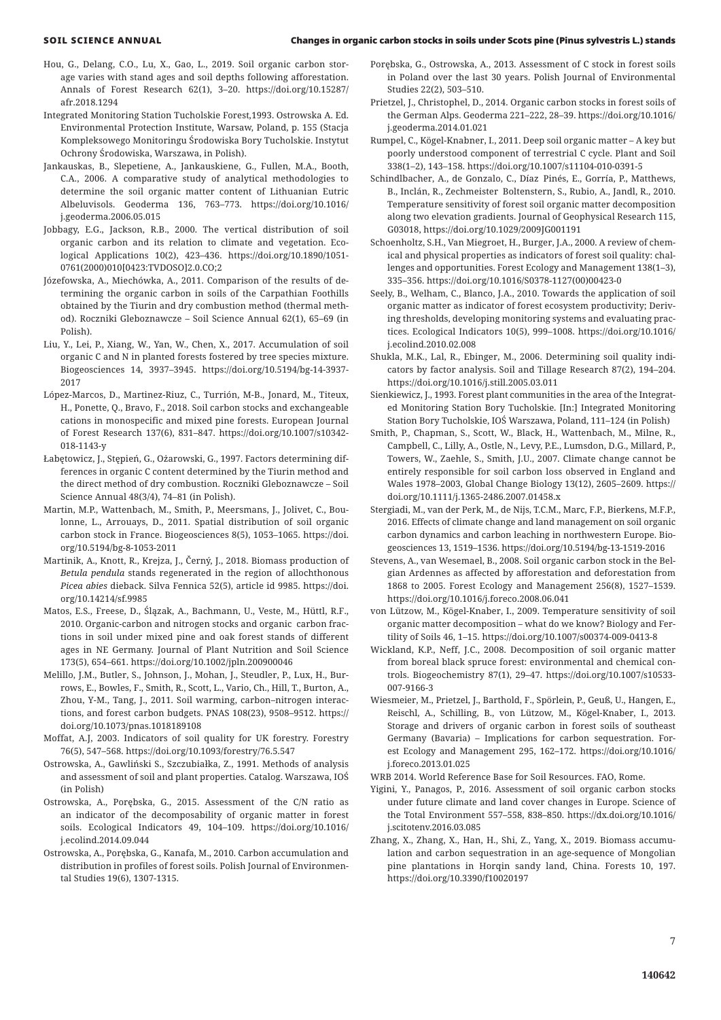- Hou, G., Delang, C.O., Lu, X., Gao, L., 2019. Soil organic carbon storage varies with stand ages and soil depths following afforestation. Annals of Forest Research 62(1), 3–20. https://doi.org/10.15287/ afr.2018.1294
- Integrated Monitoring Station Tucholskie Forest*,*1993. Ostrowska A. Ed. Environmental Protection Institute, Warsaw, Poland, p. 155 (Stacja Kompleksowego Monitoringu Środowiska Bory Tucholskie. Instytut Ochrony Środowiska, Warszawa, in Polish).
- Jankauskas, B., Slepetiene, A., Jankauskiene, G., Fullen, M.A., Booth, C.A., 2006. A comparative study of analytical methodologies to determine the soil organic matter content of Lithuanian Eutric Albeluvisols. Geoderma 136, 763–773. https://doi.org/10.1016/ j.geoderma.2006.05.015
- Jobbagy, E.G., Jackson, R.B., 2000. The vertical distribution of soil organic carbon and its relation to climate and vegetation. Ecological Applications 10(2), 423–436. https://doi.org/10.1890/1051- 0761(2000)010[0423:TVDOSO]2.0.CO;2
- Józefowska, A., Miechówka, A., 2011. Comparison of the results of determining the organic carbon in soils of the Carpathian Foothills obtained by the Tiurin and dry combustion method (thermal method). Roczniki Gleboznawcze – Soil Science Annual 62(1), 65–69 (in Polish).
- Liu, Y., Lei, P., Xiang, W., Yan, W., Chen, X., 2017. Accumulation of soil organic C and N in planted forests fostered by tree species mixture. Biogeosciences 14, 3937–3945. https://doi.org/10.5194/bg-14-3937- 2017
- López-Marcos, D., Martinez-Riuz, C., Turrión, M-B., Jonard, M., Titeux, H., Ponette, Q., Bravo, F., 2018. Soil carbon stocks and exchangeable cations in monospecific and mixed pine forests. European Journal of Forest Research 137(6), 831–847. https://doi.org/10.1007/s10342- 018-1143-y
- Łabętowicz, J., Stępień, G., Ożarowski, G., 1997. Factors determining differences in organic C content determined by the Tiurin method and the direct method of dry combustion. Roczniki Gleboznawcze – Soil Science Annual 48(3/4), 74–81 (in Polish).
- Martin, M.P., Wattenbach, M., Smith, P., Meersmans, J., Jolivet, C., Boulonne, L., Arrouays, D., 2011. Spatial distribution of soil organic carbon stock in France. Biogeosciences 8(5), 1053–1065. https://doi. org/10.5194/bg-8-1053-2011
- Martinik, A., Knott, R., Krejza, J., Černý, J., 2018. Biomass production of *Betula pendula* stands regenerated in the region of allochthonous *Picea abies* dieback. Silva Fennica 52(5), article id 9985. https://doi. org/10.14214/sf.9985
- Matos, E.S., Freese, D., Ślązak, A., Bachmann, U., Veste, M., Hüttl, R.F., 2010. Organic-carbon and nitrogen stocks and organic carbon fractions in soil under mixed pine and oak forest stands of different ages in NE Germany. Journal of Plant Nutrition and Soil Science 173(5), 654–661. https://doi.org/10.1002/jpln.200900046
- Melillo, J.M., Butler, S., Johnson, J., Mohan, J., Steudler, P., Lux, H., Burrows, E., Bowles, F., Smith, R., Scott, L., Vario, Ch., Hill, T., Burton, A., Zhou, Y-M., Tang, J., 2011. Soil warming, carbon–nitrogen interactions, and forest carbon budgets. PNAS 108(23), 9508–9512. https:// doi.org/10.1073/pnas.1018189108
- Moffat, A.J, 2003. Indicators of soil quality for UK forestry. Forestry 76(5), 547–568. https://doi.org/10.1093/forestry/76.5.547
- Ostrowska, A., Gawliński S., Szczubiałka, Z., 1991. Methods of analysis and assessment of soil and plant properties. Catalog. Warszawa, IOŚ (in Polish)
- Ostrowska, A., Porębska, G., 2015. Assessment of the C/N ratio as an indicator of the decomposability of organic matter in forest soils. Ecological Indicators 49, 104–109. https://doi.org/10.1016/ j.ecolind.2014.09.044
- Ostrowska, A., Porębska, G., Kanafa, M., 2010. Carbon accumulation and distribution in profiles of forest soils. Polish Journal of Environmental Studies 19(6), 1307-1315.
- Porębska, G., Ostrowska, A., 2013. Assessment of C stock in forest soils in Poland over the last 30 years. Polish Journal of Environmental Studies 22(2), 503–510.
- Prietzel, J., Christophel, D., 2014. Organic carbon stocks in forest soils of the German Alps. Geoderma 221–222, 28–39. https://doi.org/10.1016/ j.geoderma.2014.01.021
- Rumpel, C., Kögel-Knabner, I., 2011. Deep soil organic matter A key but poorly understood component of terrestrial C cycle. Plant and Soil 338(1–2), 143–158. https://doi.org/10.1007/s11104-010-0391-5
- Schindlbacher, A., de Gonzalo, C., Díaz Pinés, E., Gorría, P., Matthews, B., Inclán, R., Zechmeister Boltenstern, S., Rubio, A., Jandl, R., 2010. Temperature sensitivity of forest soil organic matter decomposition along two elevation gradients. Journal of Geophysical Research 115, G03018, https://doi.org/10.1029/2009JG001191
- Schoenholtz, S.H., Van Miegroet, H., Burger, J.A., 2000. A review of chemical and physical properties as indicators of forest soil quality: challenges and opportunities. Forest Ecology and Management 138(1–3), 335–356. https://doi.org/10.1016/S0378-1127(00)00423-0
- Seely, B., Welham, C., Blanco, J.A., 2010. Towards the application of soil organic matter as indicator of forest ecosystem productivity; Deriving thresholds, developing monitoring systems and evaluating practices. Ecological Indicators 10(5), 999–1008. https://doi.org/10.1016/ j.ecolind.2010.02.008
- Shukla, M.K., Lal, R., Ebinger, M., 2006. Determining soil quality indicators by factor analysis. Soil and Tillage Research 87(2), 194–204. https://doi.org/10.1016/j.still.2005.03.011
- Sienkiewicz, J., 1993. Forest plant communities in the area of the Integrated Monitoring Station Bory Tucholskie. [In:] Integrated Monitoring Station Bory Tucholskie, IOŚ Warszawa, Poland, 111–124 (in Polish)
- Smith, P., Chapman, S., Scott, W., Black, H., Wattenbach, M., Milne, R., Campbell, C., Lilly, A., Ostle, N., Levy, P.E., Lumsdon, D.G., Millard, P., Towers, W., Zaehle, S., Smith, J.U., 2007. Climate change cannot be entirely responsible for soil carbon loss observed in England and Wales 1978–2003, Global Change Biology 13(12), 2605–2609. https:// doi.org/10.1111/j.1365-2486.2007.01458.x
- Stergiadi, M., van der Perk, M., de Nijs, T.C.M., Marc, F.P., Bierkens, M.F.P., 2016. Effects of climate change and land management on soil organic carbon dynamics and carbon leaching in northwestern Europe. Biogeosciences 13, 1519–1536. https://doi.org/10.5194/bg-13-1519-2016
- Stevens, A., van Wesemael, B., 2008. Soil organic carbon stock in the Belgian Ardennes as affected by afforestation and deforestation from 1868 to 2005. Forest Ecology and Management 256(8), 1527–1539. https://doi.org/10.1016/j.foreco.2008.06.041
- von Lützow, M., Kögel-Knaber, I., 2009. Temperature sensitivity of soil organic matter decomposition – what do we know? Biology and Fertility of Soils 46, 1–15. https://doi.org/10.1007/s00374-009-0413-8
- Wickland, K.P., Neff, J.C., 2008. Decomposition of soil organic matter from boreal black spruce forest: environmental and chemical controls. Biogeochemistry 87(1), 29–47. https://doi.org/10.1007/s10533- 007-9166-3
- Wiesmeier, M., Prietzel, J., Barthold, F., Spörlein, P., Geuß, U., Hangen, E., Reischl, A., Schilling, B., von Lützow, M., Kögel-Knaber, I., 2013. Storage and drivers of organic carbon in forest soils of southeast Germany (Bavaria) – Implications for carbon sequestration. Forest Ecology and Management 295, 162–172. https://doi.org/10.1016/ j.foreco.2013.01.025

WRB 2014. World Reference Base for Soil Resources. FAO, Rome.

- Yigini, Y., Panagos, P., 2016. Assessment of soil organic carbon stocks under future climate and land cover changes in Europe. Science of the Total Environment 557–558, 838–850. https://dx.doi.org/10.1016/ j.scitotenv.2016.03.085
- Zhang, X., Zhang, X., Han, H., Shi, Z., Yang, X., 2019. Biomass accumulation and carbon sequestration in an age-sequence of Mongolian pine plantations in Horqin sandy land, China. Forests 10, 197. https://doi.org/10.3390/f10020197